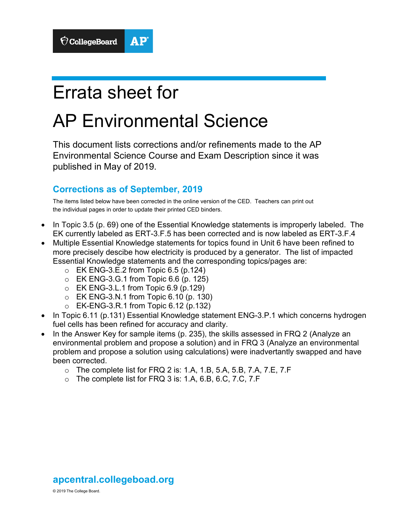# Errata sheet for

# AP Environmental Science

This document lists corrections and/or refinements made to the AP Environmental Science Course and Exam Description since it was published in May of 2019.

# **Corrections as of September, 2019**

The items listed below have been corrected in the online version of the CED. Teachers can print out the individual pages in order to update their printed CED binders.

- In Topic 3.5 (p. 69) one of the Essential Knowledge statements is improperly labeled. The EK currently labeled as ERT-3.F.5 has been corrected and is now labeled as ERT-3.F.4
- Multiple Essential Knowledge statements for topics found in Unit 6 have been refined to more precisely descibe how electricity is produced by a generator. The list of impacted Essential Knowledge statements and the corresponding topics/pages are:
	- $\circ$  EK ENG-3.E.2 from Topic 6.5 (p.124)
	- $\circ$  EK ENG-3.G.1 from Topic 6.6 (p. 125)
	- $\circ$  EK ENG-3.L.1 from Topic 6.9 (p.129)
	- o EK ENG-3.N.1 from Topic 6.10 (p. 130)
	- $\circ$  EK-ENG-3.R.1 from Topic 6.12 (p.132)
- In Topic 6.11 (p.131) Essential Knowledge statement ENG-3.P.1 which concerns hydrogen fuel cells has been refined for accuracy and clarity.
- In the Answer Key for sample items (p. 235), the skills assessed in FRQ 2 (Analyze an environmental problem and propose a solution) and in FRQ 3 (Analyze an environmental problem and propose a solution using calculations) were inadvertantly swapped and have been corrected.
	- $\circ$  The complete list for FRQ 2 is: 1.A, 1.B, 5.A, 5.B, 7.A, 7.E, 7.F
	- $\circ$  The complete list for FRQ 3 is: 1.A, 6.B, 6.C, 7.C, 7.F

# **apcentral.collegeboad.org**

© 2019 The College Board.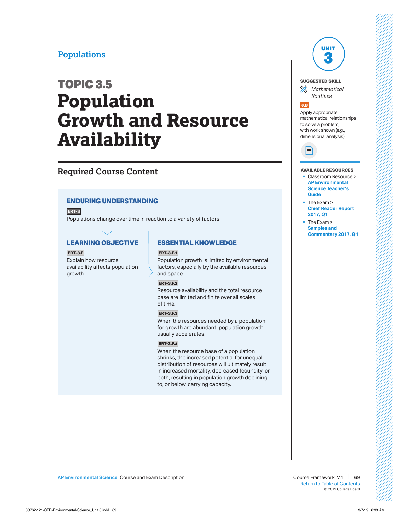# **Populations**

# TOPIC 3.5 **Population Growth and Resource Availability**

# **Required Course Content**

# **ENDURING UNDERSTANDING**

**ERT-3**

Populations change over time in reaction to a variety of factors.

## **LEARNING OBJECTIVE**

#### **ERT-3.F**

Explain how resource availability affects population growth.

## **ESSENTIAL KNOWLEDGE**

### **ERT-3.F.1**

Population growth is limited by environmental factors, especially by the available resources and space.

## **ERT-3.F.2**

Resource availability and the total resource base are limited and finite over all scales of time.

### **ERT-3.F.3**

When the resources needed by a population for growth are abundant, population growth usually accelerates.

### **ERT-3.F.4**

When the resource base of a population shrinks, the increased potential for unequal distribution of resources will ultimately result in increased mortality, decreased fecundity, or both, resulting in population growth declining to, or below, carrying capacity.



*Mathematical Routines*

UNIT **3**



Apply appropriate mathematical relationships to solve a problem, with work shown (e.g., dimensional analysis).



#### **AVAILABLE RESOURCES**

- § Classroom Resource > **[AP Environmental](https://apcentral.collegeboard.org/courses/ap-environmental-science/classroom-resources?course=ap-environmental-science)  [Science Teacher's](https://apcentral.collegeboard.org/courses/ap-environmental-science/classroom-resources?course=ap-environmental-science)  [Guide](https://apcentral.collegeboard.org/courses/ap-environmental-science/classroom-resources?course=ap-environmental-science)**
- § The Exam > **[Chief Reader Report](https://secure-media.collegeboard.org/ap/pdf/ap17-chief-reader-report-environmental-science.pdf)  [2017, Q1](https://secure-media.collegeboard.org/ap/pdf/ap17-chief-reader-report-environmental-science.pdf)**
- § The Exam > **[Samples and](https://secure-media.collegeboard.org/digitalServices/pdf/ap/ap17-environmental-science-q1.pdf)  [Commentary 2017, Q1](https://secure-media.collegeboard.org/digitalServices/pdf/ap/ap17-environmental-science-q1.pdf)**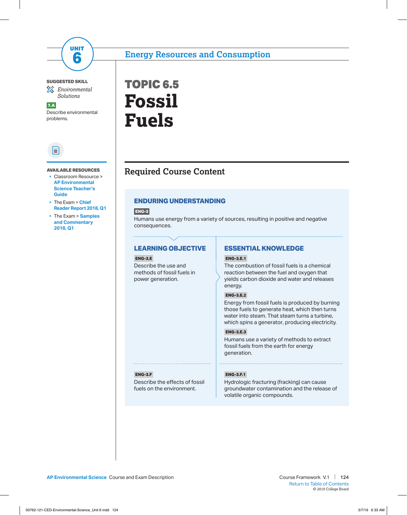

## **SUGGESTED SKILL**

*Environmental Solutions*

7.A Describe environmental problems.



#### **AVAILABLE RESOURCES**

- § Classroom Resource > **[AP Environmental](https://apcentral.collegeboard.org/pdf/ap07-envsci-teachersguide.pdf?course=ap-environmental-science)  [Science Teacher's](https://apcentral.collegeboard.org/pdf/ap07-envsci-teachersguide.pdf?course=ap-environmental-science)  [Guide](https://apcentral.collegeboard.org/pdf/ap07-envsci-teachersguide.pdf?course=ap-environmental-science)**
- § The Exam > **[Chief](https://apcentral.collegeboard.org/pdf/ap18-environmental-science-chief-reader-report.pdf?course=ap-environmental-science)  [Reader Report 2018, Q1](https://apcentral.collegeboard.org/pdf/ap18-environmental-science-chief-reader-report.pdf?course=ap-environmental-science)**
- § The Exam > **[Samples](https://secure-media.collegeboard.org/digitalServices/pdf/ap/ap18-environmental-science-q1.pdf)  [and Commentary](https://secure-media.collegeboard.org/digitalServices/pdf/ap/ap18-environmental-science-q1.pdf)  [2018, Q1](https://secure-media.collegeboard.org/digitalServices/pdf/ap/ap18-environmental-science-q1.pdf)**



# **Required Course Content**

# **ENDURING UNDERSTANDING**

**ENG-3**

Humans use energy from a variety of sources, resulting in positive and negative consequences.

## **LEARNING OBJECTIVE**

## **ENG-3.E**

Describe the use and methods of fossil fuels in power generation.

**ESSENTIAL KNOWLEDGE**

## **ENG-3.E.1**

The combustion of fossil fuels is a chemical reaction between the fuel and oxygen that yields carbon dioxide and water and releases energy.

## **ENG-3.E.2**

Energy from fossil fuels is produced by burning those fuels to generate heat, which then turns water into steam. That steam turns a turbine, which spins a generator, producing electricity.

## **ENG-3.E.3**

Humans use a variety of methods to extract fossil fuels from the earth for energy generation.

#### **ENG-3.F**

Describe the effects of fossil fuels on the environment.

#### **ENG-3.F.1**

Hydrologic fracturing (fracking) can cause groundwater contamination and the release of volatile organic compounds.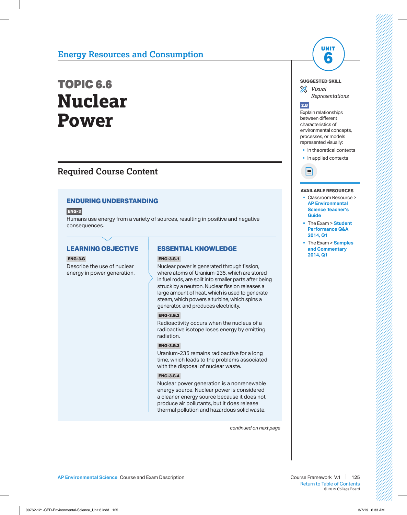# TOPIC 6.6 **Nuclear Power**

# **Required Course Content**

# **ENDURING UNDERSTANDING**

**ENG-3**

Humans use energy from a variety of sources, resulting in positive and negative consequences.

# **LEARNING OBJECTIVE**

#### **ENG-3.G**

Describe the use of nuclear energy in power generation.

## **ESSENTIAL KNOWLEDGE**

#### **ENG-3.G.1**

Nuclear power is generated through fission, where atoms of Uranium-235, which are stored in fuel rods, are split into smaller parts after being struck by a neutron. Nuclear fission releases a large amount of heat, which is used to generate steam, which powers a turbine, which spins a generator, and produces electricity.

## **ENG-3.G.2**

Radioactivity occurs when the nucleus of a radioactive isotope loses energy by emitting radiation.

## **ENG-3.G.3**

Uranium-235 remains radioactive for a long time, which leads to the problems associated with the disposal of nuclear waste.

#### **ENG-3.G.4**

Nuclear power generation is a nonrenewable energy source. Nuclear power is considered a cleaner energy source because it does not produce air pollutants, but it does release thermal pollution and hazardous solid waste.

*continued on next page*

#### **SUGGESTED SKILL**

*Visual Representations* 

UNIT

#### 2.B

Explain relationships between different characteristics of environmental concepts, processes, or models represented visually:

• In theoretical contexts

• In applied contexts



#### **AVAILABLE RESOURCES**

- § Classroom Resource > **[AP Environmental](https://apcentral.collegeboard.org/pdf/ap07-envsci-teachersguide.pdf?course=ap-environmental-science)  [Science Teacher's](https://apcentral.collegeboard.org/pdf/ap07-envsci-teachersguide.pdf?course=ap-environmental-science)  [Guide](https://apcentral.collegeboard.org/pdf/ap07-envsci-teachersguide.pdf?course=ap-environmental-science)**
- § The Exam > **[Student](https://secure-media.collegeboard.org/digitalServices/pdf/ap/apcentral/ap14-env-sci-qa.pdf)  [Performance Q&A](https://secure-media.collegeboard.org/digitalServices/pdf/ap/apcentral/ap14-env-sci-qa.pdf) [2014, Q1](https://secure-media.collegeboard.org/digitalServices/pdf/ap/apcentral/ap14-env-sci-qa.pdf)**
- § The Exam > **[Samples](https://secure-media.collegeboard.org/digitalServices/pdf/ap/apcentral/ap14_environmental_science_q1.pdf)  [and Commentary](https://secure-media.collegeboard.org/digitalServices/pdf/ap/apcentral/ap14_environmental_science_q1.pdf)  [2014, Q1](https://secure-media.collegeboard.org/digitalServices/pdf/ap/apcentral/ap14_environmental_science_q1.pdf)**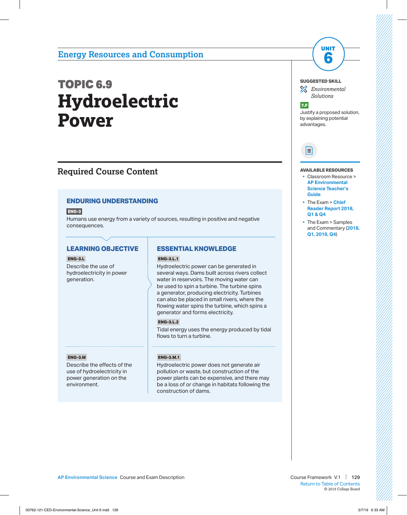# TOPIC 6.9 **Hydroelectric Power**

# **Required Course Content**

# **ENDURING UNDERSTANDING**

**ENG-3**

Humans use energy from a variety of sources, resulting in positive and negative consequences.

# **LEARNING OBJECTIVE**

#### **ENG-3.L**

Describe the use of hydroelectricity in power generation.

### **ENG-3.M**

Describe the effects of the use of hydroelectricity in power generation on the environment.

## **ESSENTIAL KNOWLEDGE**

#### **ENG-3.L.1**

Hydroelectric power can be generated in several ways. Dams built across rivers collect water in reservoirs. The moving water can be used to spin a turbine. The turbine spins a generator, producing electricity. Turbines can also be placed in small rivers, where the flowing water spins the turbine, which spins a generator and forms electricity.

#### **ENG-3.L.2**

Tidal energy uses the energy produced by tidal flows to turn a turbine.

### **ENG-3.M.1**

Hydroelectric power does not generate air pollution or waste, but construction of the power plants can be expensive, and there may be a loss of or change in habitats following the construction of dams.

## **SUGGESTED SKILL**

*Environmental Solutions*

UNIT **6**

#### 7.F

Justify a proposed solution, by explaining potential advantages.

# $\equiv$

#### **AVAILABLE RESOURCES**

- § Classroom Resource > **[AP Environmental](https://apcentral.collegeboard.org/pdf/ap07-envsci-teachersguide.pdf?course=ap-environmental-science)  [Science Teacher's](https://apcentral.collegeboard.org/pdf/ap07-envsci-teachersguide.pdf?course=ap-environmental-science)  [Guide](https://apcentral.collegeboard.org/pdf/ap07-envsci-teachersguide.pdf?course=ap-environmental-science)**
- § The Exam > **[Chief](https://apcentral.collegeboard.org/pdf/ap18-environmental-science-chief-reader-report.pdf?course=ap-environmental-science)  [Reader Report 2018,](https://apcentral.collegeboard.org/pdf/ap18-environmental-science-chief-reader-report.pdf?course=ap-environmental-science) [Q1 & Q4](https://apcentral.collegeboard.org/pdf/ap18-environmental-science-chief-reader-report.pdf?course=ap-environmental-science)**
- § The Exam > Samples and Commentary (**[2018,](https://secure-media.collegeboard.org/digitalServices/pdf/ap/ap18-environmental-science-q1.pdf)  [Q1](https://secure-media.collegeboard.org/digitalServices/pdf/ap/ap18-environmental-science-q1.pdf)**, **[2018, Q4](https://secure-media.collegeboard.org/digitalServices/pdf/ap/ap18-environmental-science-q4.pdf)**)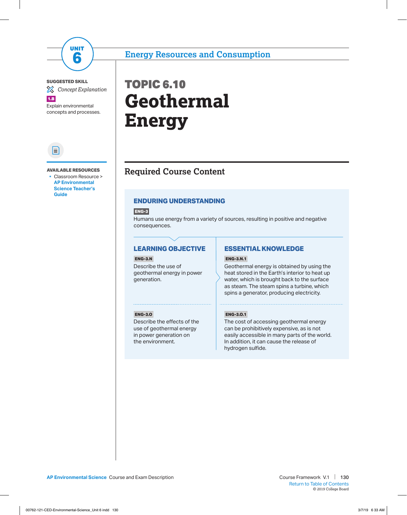

### **SUGGESTED SKILL**

*Concept Explanation*

1.B

Explain environmental concepts and processes.



**AVAILABLE RESOURCES** 

§ Classroom Resource > **[AP Environmental](https://apcentral.collegeboard.org/pdf/ap07-envsci-teachersguide.pdf?course=ap-environmental-science)  [Science Teacher's](https://apcentral.collegeboard.org/pdf/ap07-envsci-teachersguide.pdf?course=ap-environmental-science) [Guide](https://apcentral.collegeboard.org/pdf/ap07-envsci-teachersguide.pdf?course=ap-environmental-science)**

# TOPIC 6.10 **Geothermal Energy**

# **Required Course Content**

# **ENDURING UNDERSTANDING**

**ENG-3**

Humans use energy from a variety of sources, resulting in positive and negative consequences.

# **LEARNING OBJECTIVE**

## **ENG-3.N**

Describe the use of geothermal energy in power generation.

# **ESSENTIAL KNOWLEDGE**

## **ENG-3.N.1**

Geothermal energy is obtained by using the heat stored in the Earth's interior to heat up water, which is brought back to the surface as steam. The steam spins a turbine, which spins a generator, producing electricity.

### **ENG-3.O**

Describe the effects of the use of geothermal energy in power generation on the environment.

### **ENG-3.O.1**

The cost of accessing geothermal energy can be prohibitively expensive, as is not easily accessible in many parts of the world. In addition, it can cause the release of hydrogen sulfide.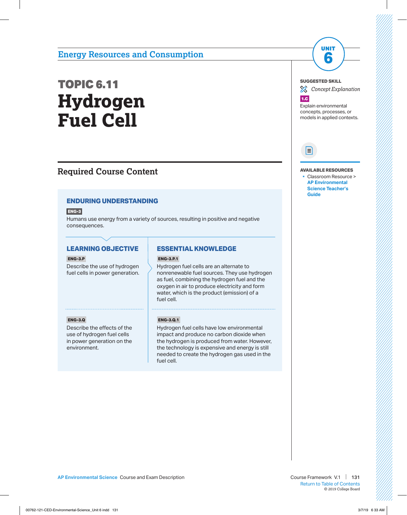# TOPIC 6.11 **Hydrogen Fuel Cell**

# **Required Course Content**

# **ENDURING UNDERSTANDING**

**ENG-3**

Humans use energy from a variety of sources, resulting in positive and negative consequences.

# **LEARNING OBJECTIVE**

### **ENG-3.P**

Describe the use of hydrogen fuel cells in power generation.

# **ESSENTIAL KNOWLEDGE**

## **ENG-3.P.1**

Hydrogen fuel cells are an alternate to nonrenewable fuel sources. They use hydrogen as fuel, combining the hydrogen fuel and the oxygen in air to produce electricity and form water, which is the product (emission) of a fuel cell.

### **ENG-3.Q**

Describe the effects of the use of hydrogen fuel cells in power generation on the environment.

## **ENG-3.Q.1**

Hydrogen fuel cells have low environmental impact and produce no carbon dioxide when the hydrogen is produced from water. However, the technology is expensive and energy is still needed to create the hydrogen gas used in the fuel cell.

**SUGGESTED SKILL**

*Concept Explanation*

UNIT **6**



Explain environmental concepts, processes, or models in applied contexts.



**AVAILABLE RESOURCES**

§ Classroom Resource > **[AP Environmental](https://apcentral.collegeboard.org/pdf/ap07-envsci-teachersguide.pdf?course=ap-environmental-science)  [Science Teacher's](https://apcentral.collegeboard.org/pdf/ap07-envsci-teachersguide.pdf?course=ap-environmental-science)  [Guide](https://apcentral.collegeboard.org/pdf/ap07-envsci-teachersguide.pdf?course=ap-environmental-science)**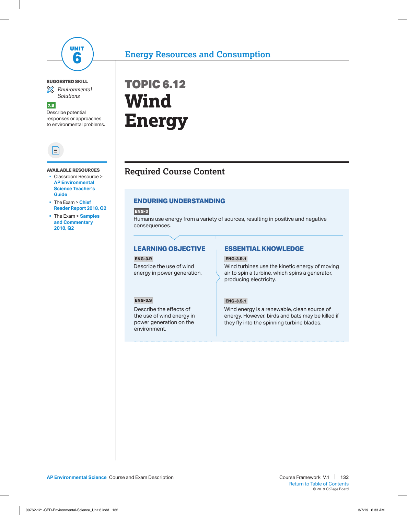

## **SUGGESTED SKILL**

*Environmental Solutions*

7.B Describe potential responses or approaches to environmental problems.



#### **AVAILABLE RESOURCES**

- Classroom Resource > **[AP Environmental](https://apcentral.collegeboard.org/pdf/ap07-envsci-teachersguide.pdf?course=ap-environmental-science)  [Science Teacher's](https://apcentral.collegeboard.org/pdf/ap07-envsci-teachersguide.pdf?course=ap-environmental-science)  [Guide](https://apcentral.collegeboard.org/pdf/ap07-envsci-teachersguide.pdf?course=ap-environmental-science)**
- § The Exam > **[Chief](https://apcentral.collegeboard.org/pdf/ap18-environmental-science-chief-reader-report.pdf?course=ap-environmental-science)  [Reader Report 2018, Q2](https://apcentral.collegeboard.org/pdf/ap18-environmental-science-chief-reader-report.pdf?course=ap-environmental-science)**
- § The Exam > **[Samples](https://secure-media.collegeboard.org/digitalServices/pdf/ap/ap18-environmental-science-q2.pdf) [and Commentary](https://secure-media.collegeboard.org/digitalServices/pdf/ap/ap18-environmental-science-q2.pdf)  [2018, Q2](https://secure-media.collegeboard.org/digitalServices/pdf/ap/ap18-environmental-science-q2.pdf)**

# TOPIC 6.12 **Wind Energy**

# **Required Course Content**

# **ENDURING UNDERSTANDING**

**ENG-3**

Humans use energy from a variety of sources, resulting in positive and negative consequences.

## **LEARNING OBJECTIVE**

**ENG-3.R** Describe the use of wind energy in power generation.

# **ESSENTIAL KNOWLEDGE**

### **ENG-3.R.1**

Wind turbines use the kinetic energy of moving air to spin a turbine, which spins a generator, producing electricity.

#### **ENG-3.S**

Describe the effects of the use of wind energy in power generation on the environment.

#### **ENG-3.S.1**

Wind energy is a renewable, clean source of energy. However, birds and bats may be killed if they fly into the spinning turbine blades.